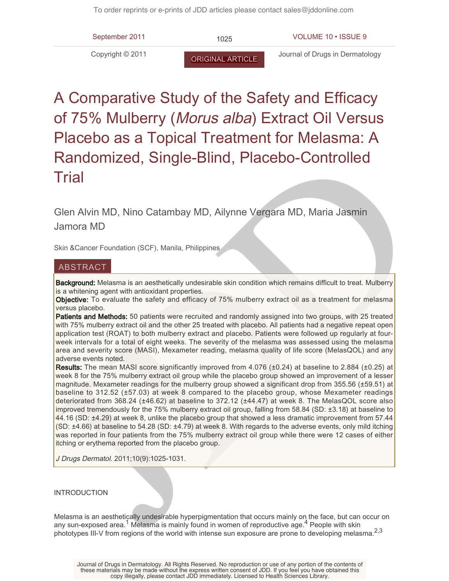

# A Comparative Study of the Safety and Efficacy of 75% Mulberry (Morus alba) Extract Oil Versus Placebo as a Topical Treatment for Melasma: A Randomized, Single-Blind, Placebo-Controlled **Trial**

Glen Alvin MD, Nino Catambay MD, Ailynne Vergara MD, Maria Jasmin Jamora MD

Skin &Cancer Foundation (SCF), Manila, Philippines

# ABSTRACT

Background: Melasma is an aesthetically undesirable skin condition which remains difficult to treat. Mulberry is a whitening agent with antioxidant properties.

Objective: To evaluate the safety and efficacy of 75% mulberry extract oil as a treatment for melasma versus placebo.

Patients and Methods: 50 patients were recruited and randomly assigned into two groups, with 25 treated with 75% mulberry extract oil and the other 25 treated with placebo. All patients had a negative repeat open application test (ROAT) to both mulberry extract and placebo. Patients were followed up regularly at fourweek intervals for a total of eight weeks. The severity of the melasma was assessed using the melasma area and severity score (MASI), Mexameter reading, melasma quality of life score (MelasQOL) and any adverse events noted.

Randomized, Single-Blind, Placebo-Controlled<br>Trial<br>Trial<br>Sen Alvin MD, Nino Catambay MD, Ailynne Vergara MD, Maria Jasmin<br>Jamora MD<br>Skin &Gancer Foundation (SCF). Manila, Philippines.<br>ABSTRACT<br>Beckground: Molesma is an aus Results: The mean MASI score significantly improved from 4.076 (±0.24) at baseline to 2.884 (±0.25) at week 8 for the 75% mulberry extract oil group while the placebo group showed an improvement of a lesser magnitude. Mexameter readings for the mulberry group showed a significant drop from 355.56 (±59.51) at baseline to 312.52 (±57.03) at week 8 compared to the placebo group, whose Mexameter readings deteriorated from 368.24 (±46.62) at baseline to 372.12 (±44.47) at week 8. The MelasQOL score also improved tremendously for the 75% mulberry extract oil group, falling from 58.84 (SD: ±3.18) at baseline to 44.16 (SD: ±4.29) at week 8, unlike the placebo group that showed a less dramatic improvement from 57.44 (SD: ±4.66) at baseline to 54.28 (SD: ±4.79) at week 8. With regards to the adverse events, only mild itching was reported in four patients from the 75% mulberry extract oil group while there were 12 cases of either itching or erythema reported from the placebo group.

J Drugs Dermatol. 2011;10(9):1025-1031.

# INTRODUCTION

Melasma is an aesthetically undesirable hyperpigmentation that occurs mainly on the face, but can occur on any sun-exposed area.<sup>1</sup> Melasma is mainly found in women of reproductive age.<sup>4</sup> People with skin phototypes III-V from regions of the world with intense sun exposure are prone to developing melasma.<sup>2,3</sup>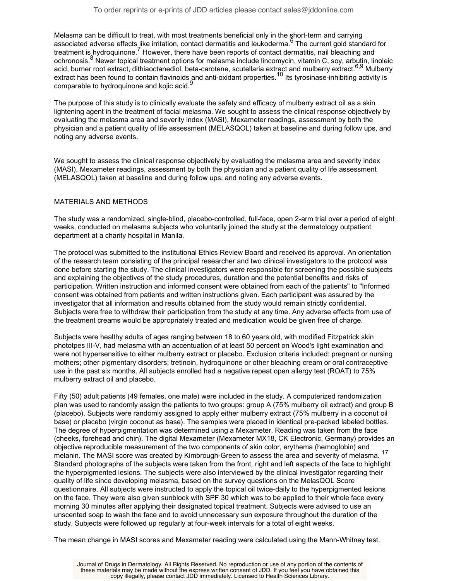Melasma can be difficult to treat, with most treatments beneficial only in the short-term and carrying associated adverse effects like irritation, contact dermatitis and leukoderma.<sup>6</sup> The current gold standard for treatment is hydroquinone.<sup>7</sup> However, there have been reports of contact dermatitis, nail bleaching and ochronosis.<sup>8</sup> Newer topical treatment options for melasma include lincomycin, vitamin C, soy, arbutin, linoleic acid, burner root extract, dithiaoctanediol, beta-carotene, scutellaria extract and mulberry extract.<sup>6,9</sup> Mulberry extract has been found to contain flavinoids and anti-oxidant properties.<sup>10</sup> Its tyrosinase-inhibiting activity is comparable to hydroquinone and kojic acid.<sup>9</sup>

The purpose of this study is to clinically evaluate the safety and efficacy of mulberry extract oil as a skin lightening agent in the treatment of facial melasma. We sought to assess the clinical response objectively by evaluating the melasma area and severity index (MASI), Mexameter readings, assessment by both the physician and a patient quality of life assessment (MELASQOL) taken at baseline and during follow ups, and noting any adverse events.

We sought to assess the clinical response objectively by evaluating the melasma area and severity index (MASI), Mexameter readings, assessment by both the physician and a patient quality of life assessment (MELASQOL) taken at baseline and during follow ups, and noting any adverse events.

## MATERIALS AND METHODS

The study was a randomized, single-blind, placebo-controlled, full-face, open 2-arm trial over a period of eight weeks, conducted on melasma subjects who voluntarily joined the study at the dermatology outpatient department at a charity hospital in Manila.

The protocol was submitted to the institutional Ethics Review Board and received its approval. An orientation of the research team consisting of the principal researcher and two clinical investigators to the protocol was done before starting the study. The clinical investigators were responsible for screening the possible subjects and explaining the objectives of the study procedures, duration and the potential benefits and risks of participation. Written instruction and informed consent were obtained from each of the patients" to "Informed consent was obtained from patients and written instructions given. Each participant was assured by the investigator that all information and results obtained from the study would remain strictly confidential. Subjects were free to withdraw their participation from the study at any time. Any adverse effects from use of the treatment creams would be appropriately treated and medication would be given free of charge.

Subjects were healthy adults of ages ranging between 18 to 60 years old, with modified Fitzpatrick skin phototpes III-V, had melasma with an accentuation of at least 50 percent on Wood's light examination and were not hypersensitive to either mulberry extract or placebo. Exclusion criteria included: pregnant or nursing mothers; other pigmentary disorders; tretinoin, hydroquinone or other bleaching cream or oral contraceptive use in the past six months. All subjects enrolled had a negative repeat open allergy test (ROAT) to 75% mulberry extract oil and placebo.

Fifty (50) adult patients (49 females, one male) were included in the study. A computerized randomization plan was used to randomly assign the patients to two groups: group A (75% mulberry oil extract) and group B (placebo). Subjects were randomly assigned to apply either mulberry extract (75% mulberry in a coconut oil base) or placebo (virgin coconut as base). The samples were placed in identical pre-packed labeled bottles. The degree of hyperpigmentation was determined using a Mexameter. Reading was taken from the face (cheeks, forehead and chin). The digital Mexameter (Mexameter MX18, CK Electronic, Germany) provides an objective reproducible measurement of the two components of skin color, erythema (hemoglobin) and melanin. The MASI score was created by Kimbrough-Green to assess the area and severity of melasma. <sup>17</sup> Standard photographs of the subjects were taken from the front, right and left aspects of the face to highlight the hyperpigmented lesions. The subjects were also interviewed by the clinical investigator regarding their quality of life since developing melasma, based on the survey questions on the MelasQOL Score questionnaire. All subjects were instructed to apply the topical oil twice-daily to the hyperpigmented lesions on the face. They were also given sunblock with SPF 30 which was to be applied to their whole face every morning 30 minutes after applying their designated topical treatment. Subjects were advised to use an unscented soap to wash the face and to avoid unnecessary sun exposure throughout the duration of the study. Subjects were followed up regularly at four-week intervals for a total of eight weeks.

The mean change in MASI scores and Mexameter reading were calculated using the Mann-Whitney test,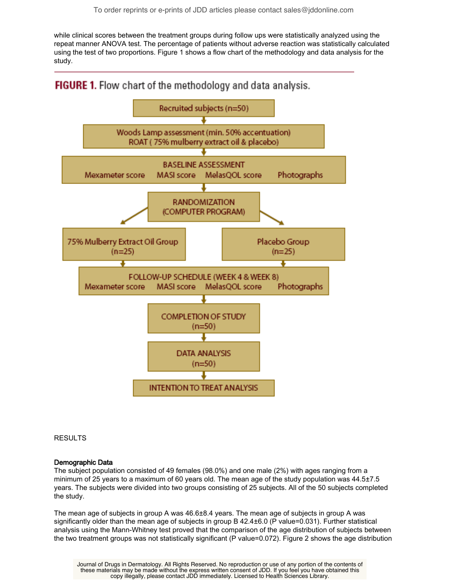while clinical scores between the treatment groups during follow ups were statistically analyzed using the repeat manner ANOVA test. The percentage of patients without adverse reaction was statistically calculated using the test of two proportions. Figure 1 shows a flow chart of the methodology and data analysis for the study.

FIGURE 1. Flow chart of the methodology and data analysis.



RESULTS

# Demographic Data

The subject population consisted of 49 females (98.0%) and one male (2%) with ages ranging from a minimum of 25 years to a maximum of 60 years old. The mean age of the study population was 44.5±7.5 years. The subjects were divided into two groups consisting of 25 subjects. All of the 50 subjects completed the study.

The mean age of subjects in group A was 46.6±8.4 years. The mean age of subjects in group A was significantly older than the mean age of subjects in group B 42.4±6.0 (P value=0.031). Further statistical analysis using the Mann-Whitney test proved that the comparison of the age distribution of subjects between the two treatment groups was not statistically significant (P value=0.072). Figure 2 shows the age distribution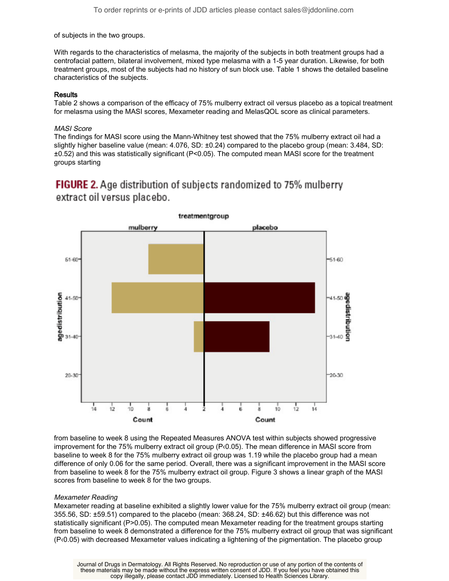of subjects in the two groups.

With regards to the characteristics of melasma, the majority of the subjects in both treatment groups had a centrofacial pattern, bilateral involvement, mixed type melasma with a 1-5 year duration. Likewise, for both treatment groups, most of the subjects had no history of sun block use. Table 1 shows the detailed baseline characteristics of the subjects.

# **Results**

Table 2 shows a comparison of the efficacy of 75% mulberry extract oil versus placebo as a topical treatment for melasma using the MASI scores, Mexameter reading and MelasQOL score as clinical parameters.

### MASI Score

The findings for MASI score using the Mann-Whitney test showed that the 75% mulberry extract oil had a slightly higher baseline value (mean: 4.076, SD: ±0.24) compared to the placebo group (mean: 3.484, SD: ±0.52) and this was statistically significant (P<0.05). The computed mean MASI score for the treatment groups starting

# **FIGURE 2.** Age distribution of subjects randomized to 75% mulberry extract oil versus placebo.



from baseline to week 8 using the Repeated Measures ANOVA test within subjects showed progressive improvement for the 75% mulberry extract oil group (P‹0.05). The mean difference in MASI score from baseline to week 8 for the 75% mulberry extract oil group was 1.19 while the placebo group had a mean difference of only 0.06 for the same period. Overall, there was a significant improvement in the MASI score from baseline to week 8 for the 75% mulberry extract oil group. Figure 3 shows a linear graph of the MASI scores from baseline to week 8 for the two groups.

# Mexameter Reading

Mexameter reading at baseline exhibited a slightly lower value for the 75% mulberry extract oil group (mean: 355.56, SD: ±59.51) compared to the placebo (mean: 368.24, SD: ±46.62) but this difference was not statistically significant (P>0.05). The computed mean Mexameter reading for the treatment groups starting from baseline to week 8 demonstrated a difference for the 75% mulberry extract oil group that was significant (P‹0.05) with decreased Mexameter values indicating a lightening of the pigmentation. The placebo group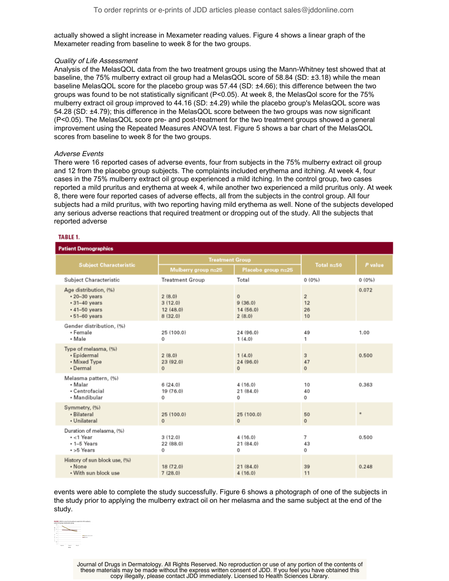actually showed a slight increase in Mexameter reading values. Figure 4 shows a linear graph of the Mexameter reading from baseline to week 8 for the two groups.

#### Quality of Life Assessment

Analysis of the MelasQOL data from the two treatment groups using the Mann-Whitney test showed that at baseline, the 75% mulberry extract oil group had a MelasQOL score of 58.84 (SD: ±3.18) while the mean baseline MelasQOL score for the placebo group was 57.44 (SD: ±4.66); this difference between the two groups was found to be not statistically significant (P<0.05). At week 8, the MelasQol score for the 75% mulberry extract oil group improved to 44.16 (SD: ±4.29) while the placebo group's MelasQOL score was 54.28 (SD: ±4.79); this difference in the MelasQOL score between the two groups was now significant (P<0.05). The MelasQOL score pre- and post-treatment for the two treatment groups showed a general improvement using the Repeated Measures ANOVA test. Figure 5 shows a bar chart of the MelasQOL scores from baseline to week 8 for the two groups.

## Adverse Events

There were 16 reported cases of adverse events, four from subjects in the 75% mulberry extract oil group and 12 from the placebo group subjects. The complaints included erythema and itching. At week 4, four cases in the 75% mulberry extract oil group experienced a mild itching. In the control group, two cases reported a mild pruritus and erythema at week 4, while another two experienced a mild pruritus only. At week 8, there were four reported cases of adverse effects, all from the subjects in the control group. All four subjects had a mild pruritus, with two reporting having mild erythema as well. None of the subjects developed any serious adverse reactions that required treatment or dropping out of the study. All the subjects that reported adverse

#### TABLE 1.

| <b>Patient Demographics</b>                                                                                       |                                          |                                               |                                  |         |  |
|-------------------------------------------------------------------------------------------------------------------|------------------------------------------|-----------------------------------------------|----------------------------------|---------|--|
| <b>Subject Characteristic</b>                                                                                     | <b>Treatment Group</b>                   |                                               |                                  |         |  |
|                                                                                                                   | Mulberry group n=25                      | Placebo group n=25                            | Total n=50                       | P value |  |
| Subject Characteristic                                                                                            | <b>Treatment Group</b>                   | Total                                         | 0(0%                             | 0(0%)   |  |
| Age distribution, (%)<br>$\cdot$ 20-30 years<br>$\cdot$ 31-40 years<br>$\cdot$ 41-50 years<br>$\cdot$ 51-60 years | 2(8.0)<br>3(12.0)<br>12(48.0)<br>8(32.0) | $\mathbf{0}$<br>9(36,0)<br>14(56.0)<br>2(8,0) | $\overline{2}$<br>12<br>26<br>10 | 0.072   |  |
| Gender distribution, (%)<br>• Female<br>• Male                                                                    | 25 (100.0)<br>0                          | 24 (96.0)<br>1(4,0)                           | 49<br>1                          | 1.00    |  |
| Type of melasma, (%)<br>• Epidermal<br>• Mixed Type<br>· Dermal                                                   | 2(8.0)<br>23(92.0)<br>$\mathbf{0}$       | 1(4.0)<br>24 (96.0)<br>$\mathbf{0}$           | 3<br>47<br>$\Omega$              | 0.500   |  |
| Melasma pattern, (%)<br>• Malar<br>· Centrofacial<br>• Mandibular                                                 | 6(24.0)<br>19 (76.0)<br>0                | 4(16,0)<br>21 (84.0)<br>0                     | 10<br>40<br>0                    | 0.363   |  |
| Symmetry, (%)<br>· Bilateral<br>· Unilateral                                                                      | 25 (100.0)<br>$\Omega$                   | 25 (100.0)<br>$\Omega$                        | 50<br>$\Omega$                   |         |  |
| Duration of melasma, (%)<br>$\cdot$ < 1 Year<br>$+1-5$ Years<br>$+5$ Years                                        | 3(12.0)<br>22 (88.0)<br>0                | 4(16,0)<br>21 (84.0)<br>0                     | 7<br>43<br>0                     | 0.500   |  |
| History of sun block use, (%)<br>• None<br>. With sun block use                                                   | 18 (72.0)<br>7(28.0)                     | 21(84.0)<br>4(16,0)                           | 39<br>11                         | 0.248   |  |

events were able to complete the study successfully. Figure 6 shows a photograph of one of the subjects in the study prior to applying the mulberry extract oil on her melasma and the same subject at the end of the study.



Journal of Drugs in Dermatology. All Rights Reserved. No reproduction or use of any portion of the contents of these materials may be made without the express written consent of JDD. If you feel you have obtained this copy illegally, please contact JDD immediately. Licensed to Health Sciences Library.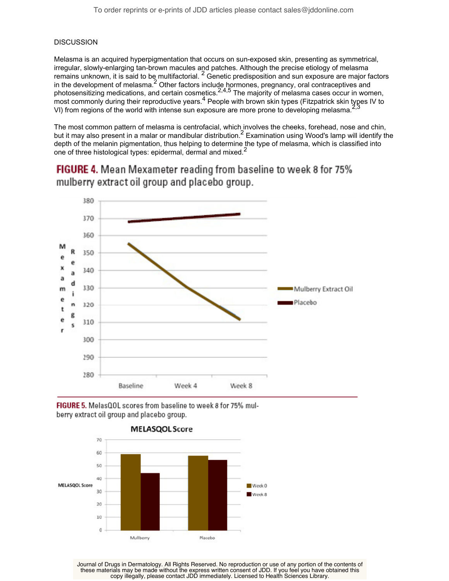# **DISCUSSION**

Melasma is an acquired hyperpigmentation that occurs on sun-exposed skin, presenting as symmetrical, irregular, slowly-enlarging tan-brown macules and patches. Although the precise etiology of melasma remains unknown, it is said to be multifactorial. <sup>2</sup> Genetic predisposition and sun exposure are major factors in the development of melasma.<sup>2</sup> Other factors include hormones, pregnancy, oral contraceptives and photosensitizing medications, and certain cosmetics.  $2,4,5$  The majority of melasma cases occur in women, most commonly during their reproductive years.<sup>4</sup> People with brown skin types (Fitzpatrick skin types IV to VI) from regions of the world with intense sun exposure are more prone to developing melasma.

The most common pattern of melasma is centrofacial, which involves the cheeks, forehead, nose and chin, but it may also present in a malar or mandibular distribution.<sup>2</sup> Examination using Wood's lamp will identify the depth of the melanin pigmentation, thus helping to determine the type of melasma, which is classified into one of three histological types: epidermal, dermal and mixed.<sup>2</sup>

FIGURE 4. Mean Mexameter reading from baseline to week 8 for 75% mulberry extract oil group and placebo group.



FIGURE 5. MelasQOL scores from baseline to week 8 for 75% mulberry extract oil group and placebo group.



Journal of Drugs in Dermatology. All Rights Reserved. No reproduction or use of any portion of the contents of these materials may be made without the express written consent of JDD. If you feel you have obtained this copy illegally, please contact JDD immediately. Licensed to Health Sciences Library.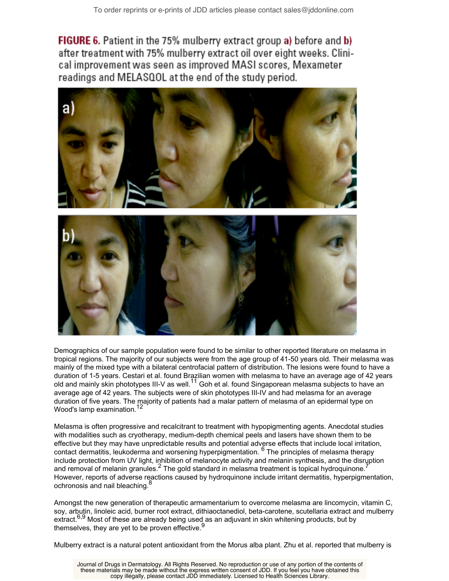FIGURE 6. Patient in the 75% mulberry extract group a) before and b) after treatment with 75% mulberry extract oil over eight weeks. Clinical improvement was seen as improved MASI scores, Mexameter readings and MELASQOL at the end of the study period.



Demographics of our sample population were found to be similar to other reported literature on melasma in tropical regions. The majority of our subjects were from the age group of 41-50 years old. Their melasma was mainly of the mixed type with a bilateral centrofacial pattern of distribution. The lesions were found to have a duration of 1-5 years. Cestari et al. found Brazilian women with melasma to have an average age of 42 years old and mainly skin phototypes III-V as well.<sup>11</sup> Goh et al. found Singaporean melasma subjects to have an average age of 42 years. The subjects were of skin phototypes III-IV and had melasma for an average duration of five years. The majority of patients had a malar pattern of melasma of an epidermal type on Wood's lamp examination.<sup>12</sup>

Melasma is often progressive and recalcitrant to treatment with hypopigmenting agents. Anecdotal studies with modalities such as cryotherapy, medium-depth chemical peels and lasers have shown them to be effective but they may have unpredictable results and potential adverse effects that include local irritation, contact dermatitis, leukoderma and worsening hyperpigmentation. <sup>6</sup> The principles of melasma therapy include protection from UV light, inhibition of melanocyte activity and melanin synthesis, and the disruption and removal of melanin granules.<sup>2</sup> The gold standard in melasma treatment is topical hydroquinone.<sup>7</sup> However, reports of adverse reactions caused by hydroquinone include irritant dermatitis, hyperpigmentation, ochronosis and nail bleaching.<sup>8</sup>

Amongst the new generation of therapeutic armamentarium to overcome melasma are lincomycin, vitamin C, soy, arbutin, linoleic acid, burner root extract, dithiaoctanediol, beta-carotene, scutellaria extract and mulberry extract.<sup>6,9</sup> Most of these are already being used as an adjuvant in skin whitening products, but by themselves, they are yet to be proven effective. $\overline{S}$ 

Mulberry extract is a natural potent antioxidant from the Morus alba plant. Zhu et al. reported that mulberry is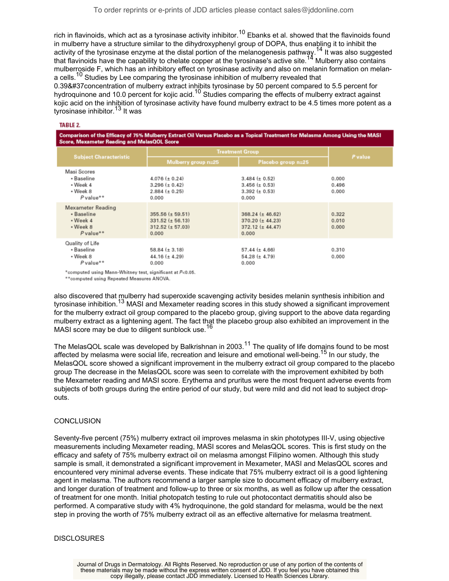rich in flavinoids, which act as a tyrosinase activity inhibitor.<sup>10</sup> Ebanks et al. showed that the flavinoids found in mulberry have a structure similar to the dihydroxyphenyl group of DOPA, thus enabling it to inhibit the activity of the tyrosinase enzyme at the distal portion of the melanogenesis pathway.<sup>14</sup> It was also suggested that flavinoids have the capability to chelate copper at the tyrosinase's active site.<sup>14</sup> Mulberry also contains mulberroside F, which has an inhibitory effect on tyrosinase activity and also on melanin formation on melana cells.<sup>10</sup> Studies by Lee comparing the tyrosinase inhibition of mulberry revealed that

0.39&#37 concentration of mulberry extract inhibits tyrosinase by 50 percent compared to 5.5 percent for hydroquinone and 10.0 percent for kojic acid.<sup>10</sup> Studies comparing the effects of mulberry extract against kojic acid on the inhibition of tyrosinase activity have found mulberry extract to be 4.5 times more potent as a tyrosinase inhibitor.<sup>13</sup> It was

#### **TABLE 2.**

Comparison of the Efficacy of 75% Mulberry Extract Oil Versus Placebo as a Topical Treatment for Melasma Among Using the MASI **IBA-L-OOL** 

| otore, mexameter neauny and melasuot otore                                                |                                                                                   |                                                                               |                         |  |
|-------------------------------------------------------------------------------------------|-----------------------------------------------------------------------------------|-------------------------------------------------------------------------------|-------------------------|--|
| <b>Subject Characteristic</b>                                                             | <b>Treatment Group</b>                                                            |                                                                               | P value                 |  |
|                                                                                           | Mulberry group n=25                                                               | Placebo group n=25                                                            |                         |  |
| Masi Scores<br>• Baseline<br>$\cdot$ Week 4<br>$\cdot$ Week 8<br>$P$ value**              | $4.076 (\pm 0.24)$<br>$3.296 (\pm 0.42)$<br>$2.884 (\pm 0.25)$<br>0.000           | $3.484 (\pm 0.52)$<br>$3.456 (\pm 0.53)$<br>$3.392 (\pm 0.53)$<br>0.000       | 0.000<br>0.496<br>0.000 |  |
| <b>Mexameter Reading</b><br>· Baseline<br>$\cdot$ Week 4<br>$\cdot$ Week 8<br>$P$ value** | $355.56 (\pm 59.51)$<br>$331.52 \ (\pm 56.13)$<br>$312.52 \ (\pm 57.03)$<br>0.000 | $368.24$ (± 46.62)<br>$370.20 (\pm 44.23)$<br>$372.12 \ (\pm 44.47)$<br>0.000 | 0.322<br>0.010<br>0.000 |  |
| Quality of Life<br>• Baseline<br>$\cdot$ Week 8<br>P value**                              | 58.84 ( $\pm$ 3.18)<br>44.16 ( $\pm$ 4.29)<br>0.000                               | 57.44 $(\pm 4.66)$<br>$54.28 (\pm 4.79)$<br>0.000                             | 0.310<br>0.000          |  |

\*computed using Mann-Whitney test, significant at P<0.05.

\*\* computed using Repeated Measures ANOVA.

also discovered that mulberry had superoxide scavenging activity besides melanin synthesis inhibition and tyrosinase inhibition.<sup>13</sup> MASI and Mexameter reading scores in this study showed a significant improvement for the mulberry extract oil group compared to the placebo group, giving support to the above data regarding mulberry extract as a lightening agent. The fact that the placebo group also exhibited an improvement in the MASI score may be due to diligent sunblock use.<sup>16</sup>

The MelasQOL scale was developed by Balkrishnan in 2003.<sup>11</sup> The quality of life domains found to be most affected by melasma were social life, recreation and leisure and emotional well-being.<sup>15</sup> In our study, the MelasQOL score showed a significant improvement in the mulberry extract oil group compared to the placebo group The decrease in the MelasQOL score was seen to correlate with the improvement exhibited by both the Mexameter reading and MASI score. Erythema and pruritus were the most frequent adverse events from subjects of both groups during the entire period of our study, but were mild and did not lead to subject dropouts.

# **CONCLUSION**

Seventy-five percent (75%) mulberry extract oil improves melasma in skin phototypes III-V, using objective measurements including Mexameter reading, MASI scores and MelasQOL scores. This is first study on the efficacy and safety of 75% mulberry extract oil on melasma amongst Filipino women. Although this study sample is small, it demonstrated a significant improvement in Mexameter, MASI and MelasQOL scores and encountered very minimal adverse events. These indicate that 75% mulberry extract oil is a good lightening agent in melasma. The authors recommend a larger sample size to document efficacy of mulberry extract, and longer duration of treatment and follow-up to three or six months, as well as follow up after the cessation of treatment for one month. Initial photopatch testing to rule out photocontact dermatitis should also be performed. A comparative study with 4% hydroquinone, the gold standard for melasma, would be the next step in proving the worth of 75% mulberry extract oil as an effective alternative for melasma treatment.

# **DISCLOSURES**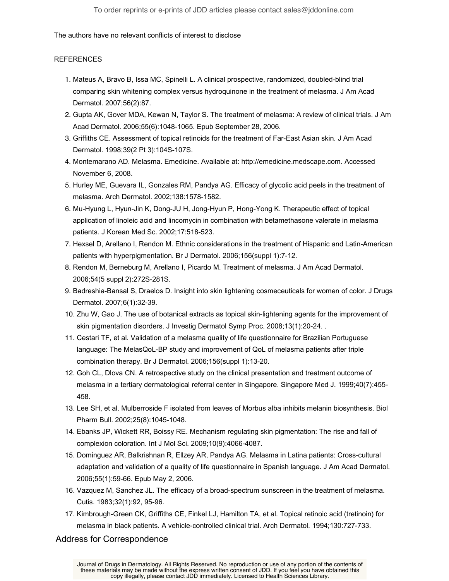# The authors have no relevant conflicts of interest to disclose

# **REFERENCES**

- 1. Mateus A, Bravo B, Issa MC, Spinelli L. A clinical prospective, randomized, doubled-blind trial comparing skin whitening complex versus hydroquinone in the treatment of melasma. J Am Acad Dermatol. 2007;56(2):87.
- 2. Gupta AK, Gover MDA, Kewan N, Taylor S. The treatment of melasma: A review of clinical trials. J Am Acad Dermatol. 2006;55(6):1048-1065. Epub September 28, 2006.
- Griffiths CE. Assessment of topical retinoids for the treatment of Far-East Asian skin. J Am Acad 3. Dermatol. 1998;39(2 Pt 3):104S-107S.
- 4. Montemarano AD. Melasma. Emedicine. Available at: http://emedicine.medscape.com. Accessed November 6, 2008.
- 5. Hurley ME, Guevara IL, Gonzales RM, Pandya AG. Efficacy of glycolic acid peels in the treatment of melasma. Arch Dermatol. 2002;138:1578-1582.
- 6. Mu-Hyung L, Hyun-Jin K, Dong-JU H, Jong-Hyun P, Hong-Yong K. Therapeutic effect of topical application of linoleic acid and lincomycin in combination with betamethasone valerate in melasma patients. J Korean Med Sc. 2002;17:518-523.
- 7. Hexsel D, Arellano I, Rendon M. Ethnic considerations in the treatment of Hispanic and Latin-American patients with hyperpigmentation. Br J Dermatol. 2006;156(suppl 1):7-12.
- 8. Rendon M, Berneburg M, Arellano I, Picardo M. Treatment of melasma. J Am Acad Dermatol. 2006;54(5 suppl 2):272S-281S.
- Badreshia-Bansal S, Draelos D. Insight into skin lightening cosmeceuticals for women of color. J Drugs 9. Dermatol. 2007;6(1):32-39.
- 10. Zhu W, Gao J. The use of botanical extracts as topical skin-lightening agents for the improvement of skin pigmentation disorders. J Investig Dermatol Symp Proc. 2008;13(1):20-24. .
- Cestari TF, et al. Validation of a melasma quality of life questionnaire for Brazilian Portuguese 11. language: The MelasQoL-BP study and improvement of QoL of melasma patients after triple combination therapy. Br J Dermatol. 2006;156(suppl 1):13-20.
- 12. Goh CL, Dlova CN. A retrospective study on the clinical presentation and treatment outcome of melasma in a tertiary dermatological referral center in Singapore. Singapore Med J. 1999;40(7):455- 458.
- 13. Lee SH, et al. Mulberroside F isolated from leaves of Morbus alba inhibits melanin biosynthesis. Biol Pharm Bull. 2002;25(8):1045-1048.
- 14. Ebanks JP, Wickett RR, Boissy RE. Mechanism regulating skin pigmentation: The rise and fall of complexion coloration. Int J Mol Sci. 2009;10(9):4066-4087.
- 15. Dominguez AR, Balkrishnan R, Ellzey AR, Pandya AG. Melasma in Latina patients: Cross-cultural adaptation and validation of a quality of life questionnaire in Spanish language. J Am Acad Dermatol. 2006;55(1):59-66. Epub May 2, 2006.
- 16. Vazquez M, Sanchez JL. The efficacy of a broad-spectrum sunscreen in the treatment of melasma. Cutis. 1983;32(1):92, 95-96.
- 17. Kimbrough-Green CK, Griffiths CE, Finkel LJ, Hamilton TA, et al. Topical retinoic acid (tretinoin) for melasma in black patients. A vehicle-controlled clinical trial. Arch Dermatol. 1994;130:727-733.

Address for Correspondence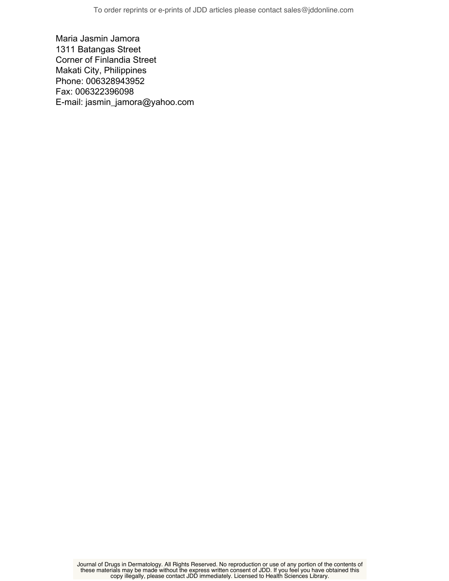Maria Jasmin Jamora 1311 Batangas Street Corner of Finlandia Street Makati City, Philippines Phone: 006328943952 Fax: 006322396098 E-mail: jasmin\_jamora@yahoo.com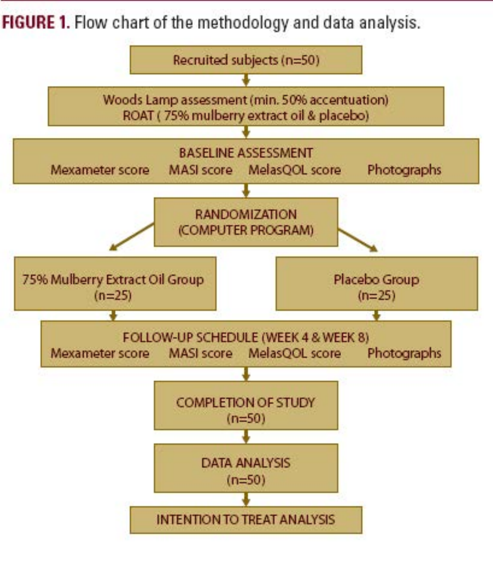FIGURE 1. Flow chart of the methodology and data analysis.

![](_page_10_Figure_1.jpeg)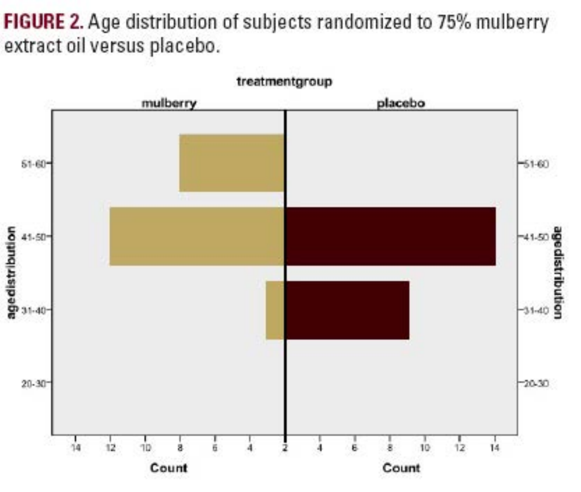FIGURE 2. Age distribution of subjects randomized to 75% mulberry extract oil versus placebo.

![](_page_11_Figure_1.jpeg)

treatmentgroup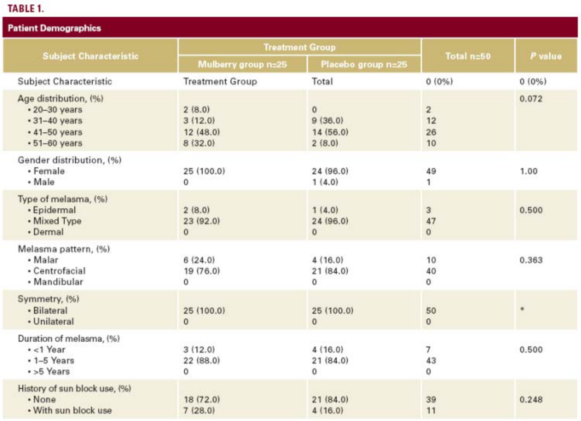# TABLE 1.

| <b>Patient Demographics</b>                                                                                       |                                          |                                               |                                      |         |
|-------------------------------------------------------------------------------------------------------------------|------------------------------------------|-----------------------------------------------|--------------------------------------|---------|
| <b>Subject Characteristic</b>                                                                                     | <b>Treatment Group</b>                   |                                               |                                      |         |
|                                                                                                                   | Mulberry group n=25                      | Placebo group n=25                            | Total n=50                           | P value |
| <b>Subject Characteristic</b>                                                                                     | <b>Treatment Group</b>                   | Total                                         | 0(0%                                 | 0(0%)   |
| Age distribution, (%)<br>$\cdot$ 20-30 years<br>$\cdot$ 31-40 years<br>$\cdot$ 41-50 years<br>$\cdot$ 51-60 years | 2(8.0)<br>3(12.0)<br>12(48.0)<br>8(32.0) | $\mathbf{0}$<br>9(36,0)<br>14(56.0)<br>2(8.0) | $\overline{2}$<br>12<br>26<br>10     | 0.072   |
| Gender distribution, (%)<br>· Female<br>$\cdot$ Male                                                              | 25 (100.0)<br>$\Omega$                   | 24 (96.0)<br>1(4.0)                           | 49<br>1                              | 1.00    |
| Type of melasma, (%)<br>· Epidermal<br>• Mixed Type<br>· Dermal                                                   | 2(8.0)<br>23 (92.0)<br>$\mathbf{0}$      | 1(4.0)<br>24 (96.0)<br>$\mathbf{0}$           | 3<br>47<br>$\mathbf{0}$              | 0.500   |
| Melasma pattern, (%).<br>• Malar<br>· Centrofacial<br>· Mandibular                                                | 6(24.0)<br>19 (76.0)<br>0                | 4(16,0)<br>21 (84.0)<br>0                     | 10<br>40<br>$\mathbf{0}$             | 0.363   |
| Symmetry, (%)<br>· Bilateral<br>· Unilateral                                                                      | 25 (100.0)<br>$\Omega$                   | 25 (100.0)<br>$\Omega$                        | 50<br>$\Omega$                       |         |
| Duration of melasma, (%)<br>$\cdot$ <1 Year<br>$-1-5$ Years<br>$\cdot$ >5 Years                                   | 3(12.0)<br>22(88.0)<br>0                 | 4(16,0)<br>21(84.0)<br>0                      | $\overline{7}$<br>43<br>$\mathbf{O}$ | 0.500   |
| History of sun block use, (%)<br>$\cdot$ None<br>. With sun block use                                             | 18 (72.0)<br>7(28.0)                     | 21(84.0)<br>4(16.0)                           | 39<br>11                             | 0.248   |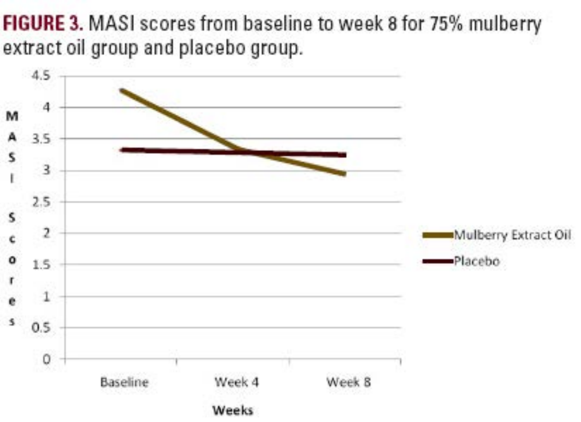FIGURE 3. MASI scores from baseline to week 8 for 75% mulberry extract oil group and placebo group.

![](_page_13_Figure_1.jpeg)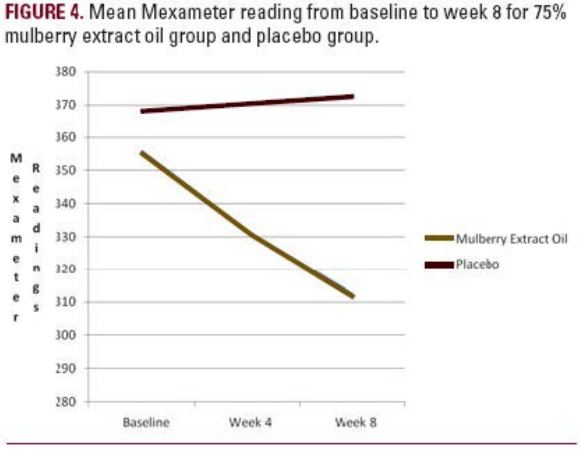FIGURE 4. Mean Mexameter reading from baseline to week 8 for 75% mulberry extract oil group and placebo group.

![](_page_14_Figure_1.jpeg)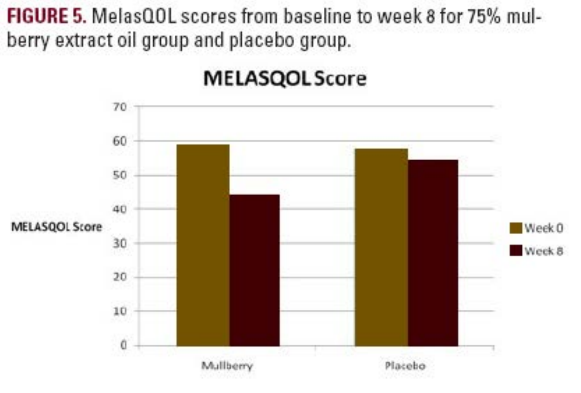FIGURE 5. MelasQOL scores from baseline to week 8 for 75% mulberry extract oil group and placebo group.

![](_page_15_Figure_1.jpeg)

![](_page_15_Figure_2.jpeg)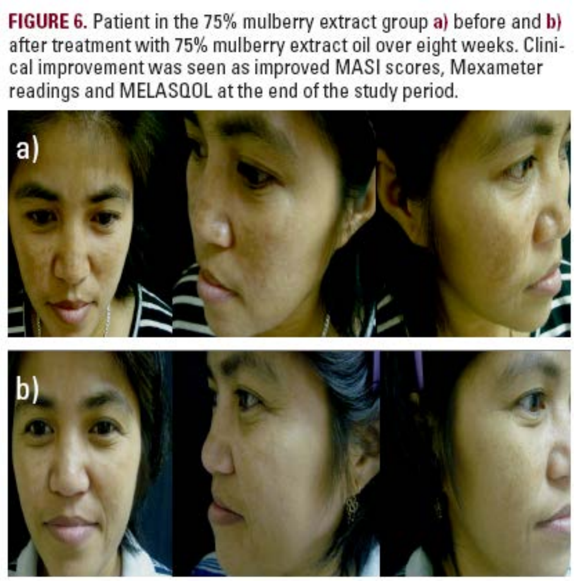**FIGURE 6.** Patient in the 75% mulberry extract group a) before and b) after treatment with 75% mulberry extract oil over eight weeks. Clinical improvement was seen as improved MASI scores, Mexameter readings and MELASQOL at the end of the study period.

![](_page_16_Picture_1.jpeg)

![](_page_16_Picture_2.jpeg)